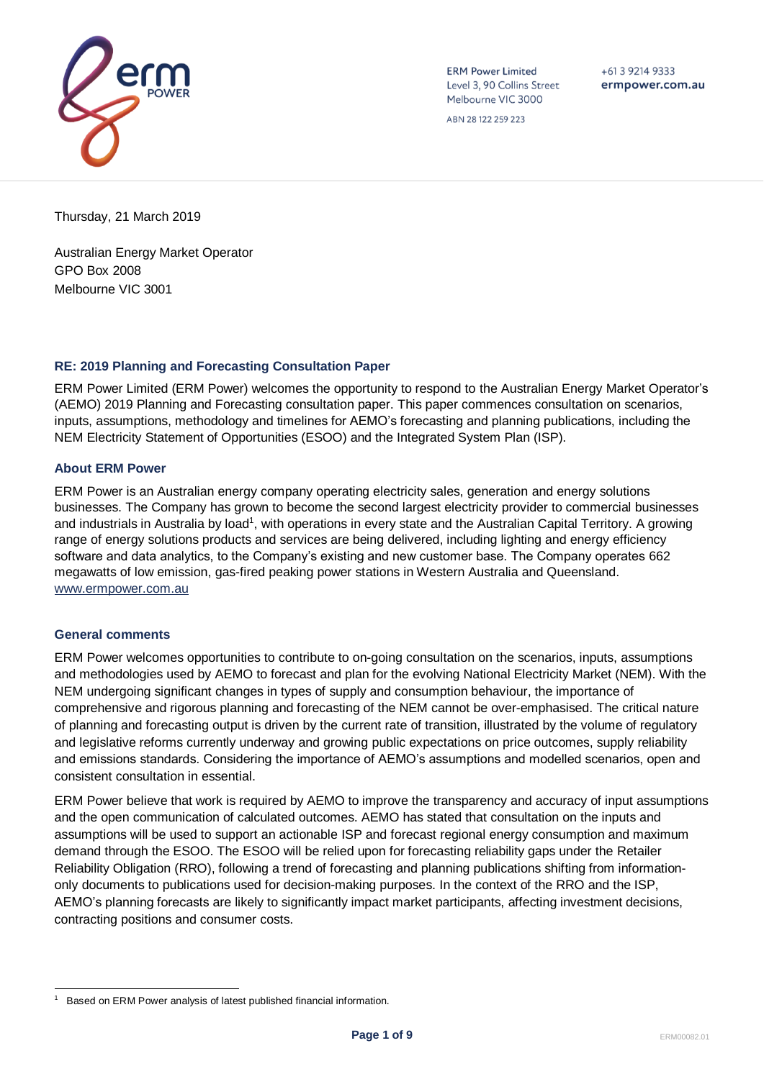

**ERM Power Limited** Level 3, 90 Collins Street Melbourne VIC 3000

 $+61392149333$ ermpower.com.au

ABN 28 122 259 223

Thursday, 21 March 2019

Australian Energy Market Operator GPO Box 2008 Melbourne VIC 3001

## **RE: 2019 Planning and Forecasting Consultation Paper**

ERM Power Limited (ERM Power) welcomes the opportunity to respond to the Australian Energy Market Operator's (AEMO) 2019 Planning and Forecasting consultation paper. This paper commences consultation on scenarios, inputs, assumptions, methodology and timelines for AEMO's forecasting and planning publications, including the NEM Electricity Statement of Opportunities (ESOO) and the Integrated System Plan (ISP).

## **About ERM Power**

ERM Power is an Australian energy company operating electricity sales, generation and energy solutions businesses. The Company has grown to become the second largest electricity provider to commercial businesses and industrials in Australia by load<sup>1</sup>, with operations in every state and the Australian Capital Territory. A growing range of energy solutions products and services are being delivered, including lighting and energy efficiency software and data analytics, to the Company's existing and new customer base. The Company operates 662 megawatts of low emission, gas-fired peaking power stations in Western Australia and Queensland. [www.ermpower.com.au](http://www.ermpower.com.au/)

#### **General comments**

ERM Power welcomes opportunities to contribute to on-going consultation on the scenarios, inputs, assumptions and methodologies used by AEMO to forecast and plan for the evolving National Electricity Market (NEM). With the NEM undergoing significant changes in types of supply and consumption behaviour, the importance of comprehensive and rigorous planning and forecasting of the NEM cannot be over-emphasised. The critical nature of planning and forecasting output is driven by the current rate of transition, illustrated by the volume of regulatory and legislative reforms currently underway and growing public expectations on price outcomes, supply reliability and emissions standards. Considering the importance of AEMO's assumptions and modelled scenarios, open and consistent consultation in essential.

ERM Power believe that work is required by AEMO to improve the transparency and accuracy of input assumptions and the open communication of calculated outcomes. AEMO has stated that consultation on the inputs and assumptions will be used to support an actionable ISP and forecast regional energy consumption and maximum demand through the ESOO. The ESOO will be relied upon for forecasting reliability gaps under the Retailer Reliability Obligation (RRO), following a trend of forecasting and planning publications shifting from informationonly documents to publications used for decision-making purposes. In the context of the RRO and the ISP, AEMO's planning forecasts are likely to significantly impact market participants, affecting investment decisions, contracting positions and consumer costs.

l 1 Based on ERM Power analysis of latest published financial information.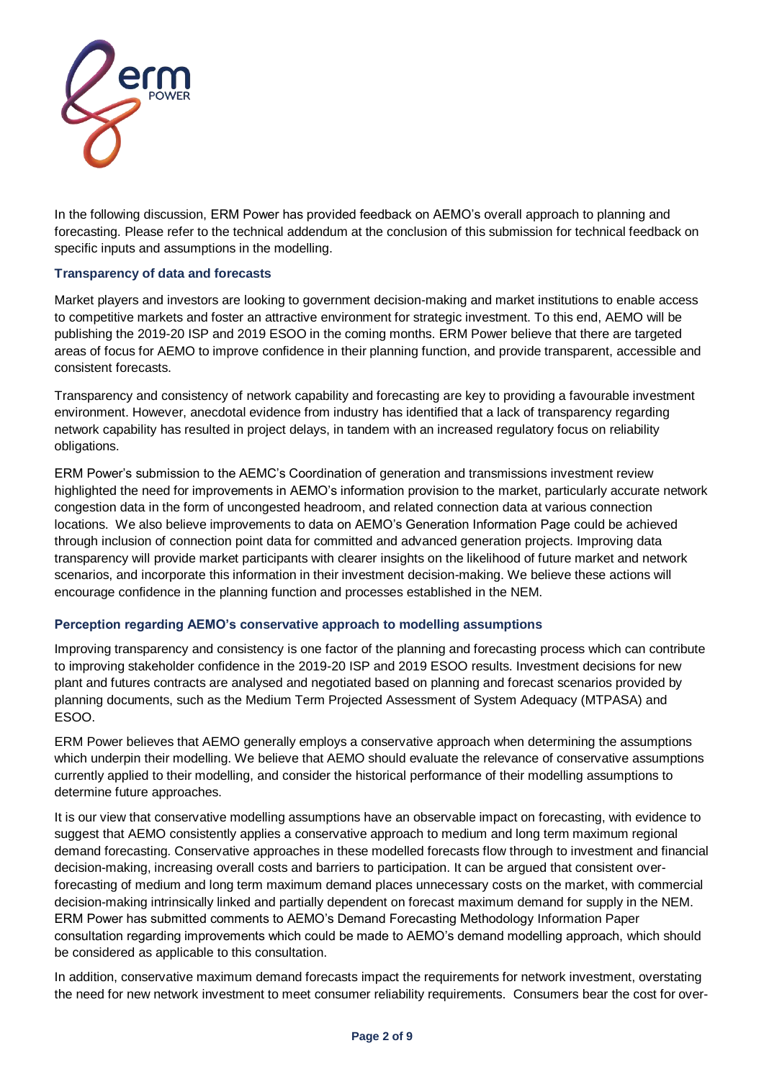

In the following discussion, ERM Power has provided feedback on AEMO's overall approach to planning and forecasting. Please refer to the technical addendum at the conclusion of this submission for technical feedback on specific inputs and assumptions in the modelling.

## **Transparency of data and forecasts**

Market players and investors are looking to government decision-making and market institutions to enable access to competitive markets and foster an attractive environment for strategic investment. To this end, AEMO will be publishing the 2019-20 ISP and 2019 ESOO in the coming months. ERM Power believe that there are targeted areas of focus for AEMO to improve confidence in their planning function, and provide transparent, accessible and consistent forecasts.

Transparency and consistency of network capability and forecasting are key to providing a favourable investment environment. However, anecdotal evidence from industry has identified that a lack of transparency regarding network capability has resulted in project delays, in tandem with an increased regulatory focus on reliability obligations.

ERM Power's submission to the AEMC's Coordination of generation and transmissions investment review highlighted the need for improvements in AEMO's information provision to the market, particularly accurate network congestion data in the form of uncongested headroom, and related connection data at various connection locations. We also believe improvements to data on AEMO's Generation Information Page could be achieved through inclusion of connection point data for committed and advanced generation projects. Improving data transparency will provide market participants with clearer insights on the likelihood of future market and network scenarios, and incorporate this information in their investment decision-making. We believe these actions will encourage confidence in the planning function and processes established in the NEM.

#### **Perception regarding AEMO's conservative approach to modelling assumptions**

Improving transparency and consistency is one factor of the planning and forecasting process which can contribute to improving stakeholder confidence in the 2019-20 ISP and 2019 ESOO results. Investment decisions for new plant and futures contracts are analysed and negotiated based on planning and forecast scenarios provided by planning documents, such as the Medium Term Projected Assessment of System Adequacy (MTPASA) and ESOO.

ERM Power believes that AEMO generally employs a conservative approach when determining the assumptions which underpin their modelling. We believe that AEMO should evaluate the relevance of conservative assumptions currently applied to their modelling, and consider the historical performance of their modelling assumptions to determine future approaches.

It is our view that conservative modelling assumptions have an observable impact on forecasting, with evidence to suggest that AEMO consistently applies a conservative approach to medium and long term maximum regional demand forecasting. Conservative approaches in these modelled forecasts flow through to investment and financial decision-making, increasing overall costs and barriers to participation. It can be argued that consistent overforecasting of medium and long term maximum demand places unnecessary costs on the market, with commercial decision-making intrinsically linked and partially dependent on forecast maximum demand for supply in the NEM. ERM Power has submitted comments to AEMO's Demand Forecasting Methodology Information Paper consultation regarding improvements which could be made to AEMO's demand modelling approach, which should be considered as applicable to this consultation.

In addition, conservative maximum demand forecasts impact the requirements for network investment, overstating the need for new network investment to meet consumer reliability requirements. Consumers bear the cost for over-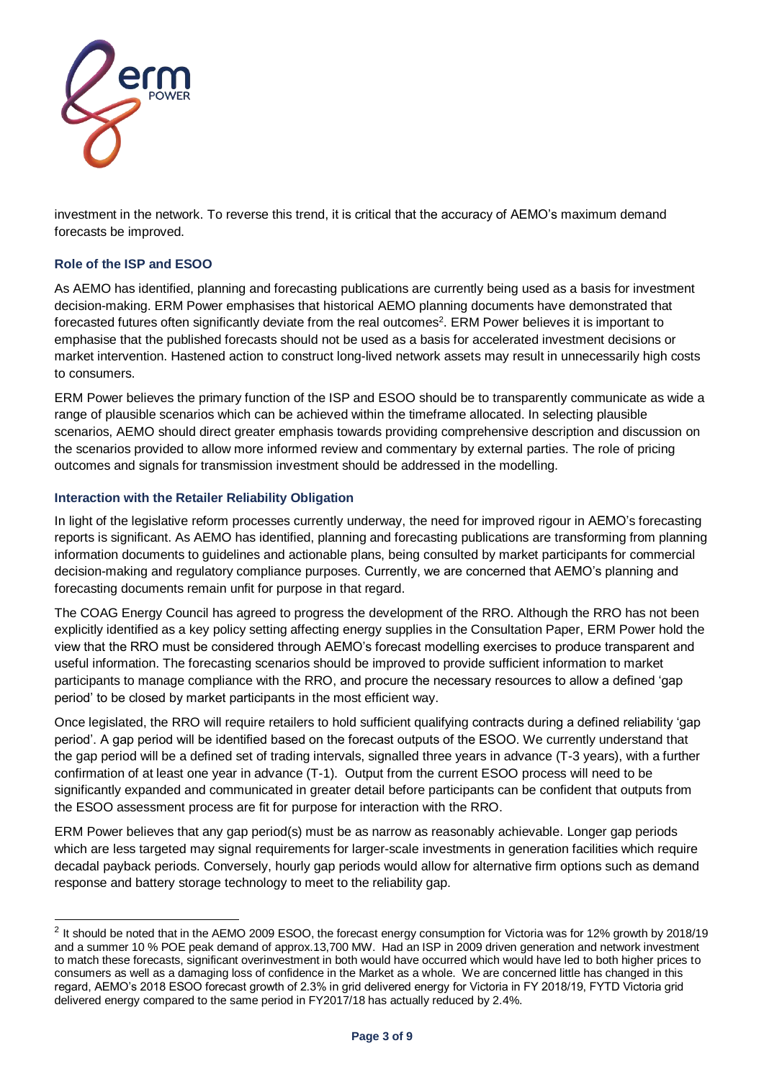

investment in the network. To reverse this trend, it is critical that the accuracy of AEMO's maximum demand forecasts be improved.

## **Role of the ISP and ESOO**

l

As AEMO has identified, planning and forecasting publications are currently being used as a basis for investment decision-making. ERM Power emphasises that historical AEMO planning documents have demonstrated that forecasted futures often significantly deviate from the real outcomes<sup>2</sup>. ERM Power believes it is important to emphasise that the published forecasts should not be used as a basis for accelerated investment decisions or market intervention. Hastened action to construct long-lived network assets may result in unnecessarily high costs to consumers.

ERM Power believes the primary function of the ISP and ESOO should be to transparently communicate as wide a range of plausible scenarios which can be achieved within the timeframe allocated. In selecting plausible scenarios, AEMO should direct greater emphasis towards providing comprehensive description and discussion on the scenarios provided to allow more informed review and commentary by external parties. The role of pricing outcomes and signals for transmission investment should be addressed in the modelling.

## **Interaction with the Retailer Reliability Obligation**

In light of the legislative reform processes currently underway, the need for improved rigour in AEMO's forecasting reports is significant. As AEMO has identified, planning and forecasting publications are transforming from planning information documents to guidelines and actionable plans, being consulted by market participants for commercial decision-making and regulatory compliance purposes. Currently, we are concerned that AEMO's planning and forecasting documents remain unfit for purpose in that regard.

The COAG Energy Council has agreed to progress the development of the RRO. Although the RRO has not been explicitly identified as a key policy setting affecting energy supplies in the Consultation Paper, ERM Power hold the view that the RRO must be considered through AEMO's forecast modelling exercises to produce transparent and useful information. The forecasting scenarios should be improved to provide sufficient information to market participants to manage compliance with the RRO, and procure the necessary resources to allow a defined 'gap period' to be closed by market participants in the most efficient way.

Once legislated, the RRO will require retailers to hold sufficient qualifying contracts during a defined reliability 'gap period'. A gap period will be identified based on the forecast outputs of the ESOO. We currently understand that the gap period will be a defined set of trading intervals, signalled three years in advance (T-3 years), with a further confirmation of at least one year in advance (T-1). Output from the current ESOO process will need to be significantly expanded and communicated in greater detail before participants can be confident that outputs from the ESOO assessment process are fit for purpose for interaction with the RRO.

ERM Power believes that any gap period(s) must be as narrow as reasonably achievable. Longer gap periods which are less targeted may signal requirements for larger-scale investments in generation facilities which require decadal payback periods. Conversely, hourly gap periods would allow for alternative firm options such as demand response and battery storage technology to meet to the reliability gap.

 $2$  It should be noted that in the AEMO 2009 ESOO, the forecast energy consumption for Victoria was for 12% growth by 2018/19 and a summer 10 % POE peak demand of approx.13,700 MW. Had an ISP in 2009 driven generation and network investment to match these forecasts, significant overinvestment in both would have occurred which would have led to both higher prices to consumers as well as a damaging loss of confidence in the Market as a whole. We are concerned little has changed in this regard, AEMO's 2018 ESOO forecast growth of 2.3% in grid delivered energy for Victoria in FY 2018/19, FYTD Victoria grid delivered energy compared to the same period in FY2017/18 has actually reduced by 2.4%.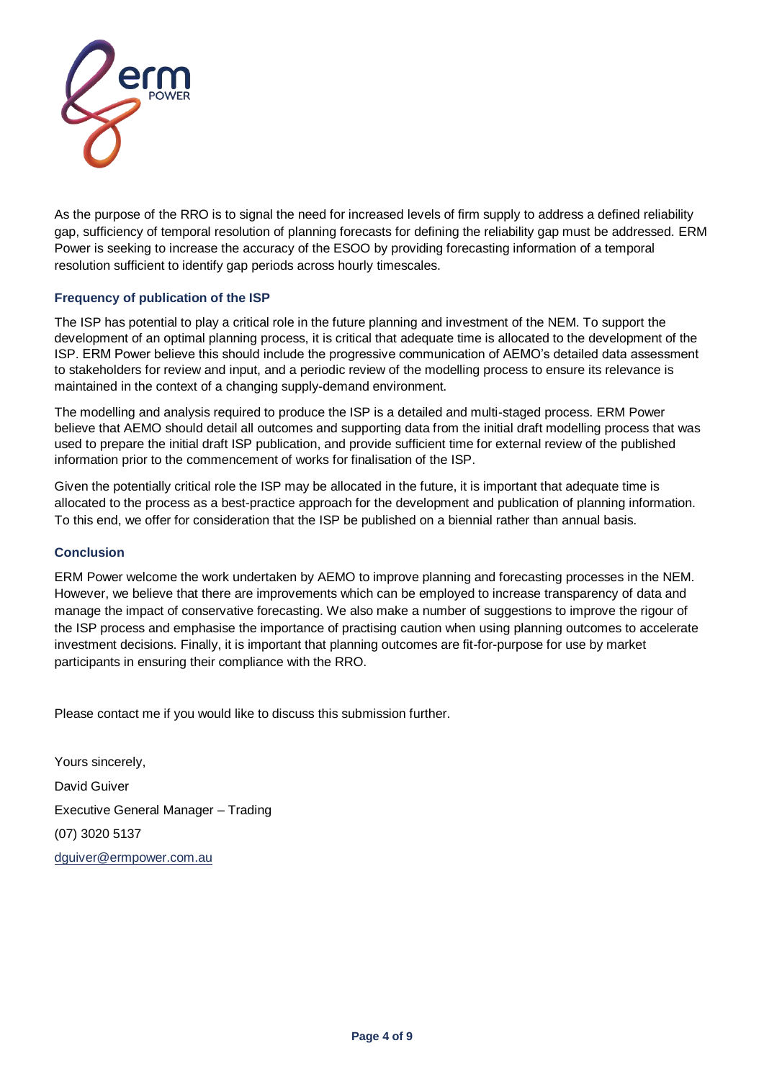

As the purpose of the RRO is to signal the need for increased levels of firm supply to address a defined reliability gap, sufficiency of temporal resolution of planning forecasts for defining the reliability gap must be addressed. ERM Power is seeking to increase the accuracy of the ESOO by providing forecasting information of a temporal resolution sufficient to identify gap periods across hourly timescales.

## **Frequency of publication of the ISP**

The ISP has potential to play a critical role in the future planning and investment of the NEM. To support the development of an optimal planning process, it is critical that adequate time is allocated to the development of the ISP. ERM Power believe this should include the progressive communication of AEMO's detailed data assessment to stakeholders for review and input, and a periodic review of the modelling process to ensure its relevance is maintained in the context of a changing supply-demand environment.

The modelling and analysis required to produce the ISP is a detailed and multi-staged process. ERM Power believe that AEMO should detail all outcomes and supporting data from the initial draft modelling process that was used to prepare the initial draft ISP publication, and provide sufficient time for external review of the published information prior to the commencement of works for finalisation of the ISP.

Given the potentially critical role the ISP may be allocated in the future, it is important that adequate time is allocated to the process as a best-practice approach for the development and publication of planning information. To this end, we offer for consideration that the ISP be published on a biennial rather than annual basis.

#### **Conclusion**

ERM Power welcome the work undertaken by AEMO to improve planning and forecasting processes in the NEM. However, we believe that there are improvements which can be employed to increase transparency of data and manage the impact of conservative forecasting. We also make a number of suggestions to improve the rigour of the ISP process and emphasise the importance of practising caution when using planning outcomes to accelerate investment decisions. Finally, it is important that planning outcomes are fit-for-purpose for use by market participants in ensuring their compliance with the RRO.

Please contact me if you would like to discuss this submission further.

Yours sincerely, David Guiver Executive General Manager – Trading (07) 3020 5137 [dguiver@ermpower.com.au](mailto:dguiver@ermpower.com.au)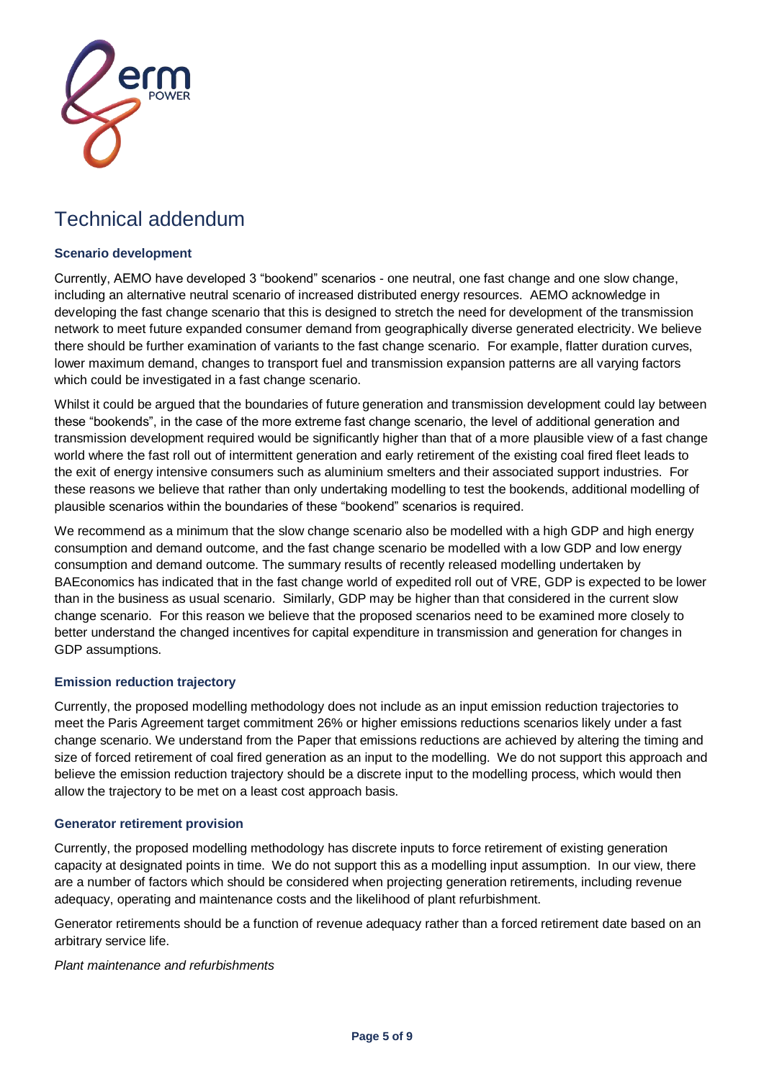

# Technical addendum

## **Scenario development**

Currently, AEMO have developed 3 "bookend" scenarios - one neutral, one fast change and one slow change, including an alternative neutral scenario of increased distributed energy resources. AEMO acknowledge in developing the fast change scenario that this is designed to stretch the need for development of the transmission network to meet future expanded consumer demand from geographically diverse generated electricity. We believe there should be further examination of variants to the fast change scenario. For example, flatter duration curves, lower maximum demand, changes to transport fuel and transmission expansion patterns are all varying factors which could be investigated in a fast change scenario.

Whilst it could be argued that the boundaries of future generation and transmission development could lay between these "bookends", in the case of the more extreme fast change scenario, the level of additional generation and transmission development required would be significantly higher than that of a more plausible view of a fast change world where the fast roll out of intermittent generation and early retirement of the existing coal fired fleet leads to the exit of energy intensive consumers such as aluminium smelters and their associated support industries. For these reasons we believe that rather than only undertaking modelling to test the bookends, additional modelling of plausible scenarios within the boundaries of these "bookend" scenarios is required.

We recommend as a minimum that the slow change scenario also be modelled with a high GDP and high energy consumption and demand outcome, and the fast change scenario be modelled with a low GDP and low energy consumption and demand outcome. The summary results of recently released modelling undertaken by BAEconomics has indicated that in the fast change world of expedited roll out of VRE, GDP is expected to be lower than in the business as usual scenario. Similarly, GDP may be higher than that considered in the current slow change scenario. For this reason we believe that the proposed scenarios need to be examined more closely to better understand the changed incentives for capital expenditure in transmission and generation for changes in GDP assumptions.

#### **Emission reduction trajectory**

Currently, the proposed modelling methodology does not include as an input emission reduction trajectories to meet the Paris Agreement target commitment 26% or higher emissions reductions scenarios likely under a fast change scenario. We understand from the Paper that emissions reductions are achieved by altering the timing and size of forced retirement of coal fired generation as an input to the modelling. We do not support this approach and believe the emission reduction trajectory should be a discrete input to the modelling process, which would then allow the trajectory to be met on a least cost approach basis.

#### **Generator retirement provision**

Currently, the proposed modelling methodology has discrete inputs to force retirement of existing generation capacity at designated points in time. We do not support this as a modelling input assumption. In our view, there are a number of factors which should be considered when projecting generation retirements, including revenue adequacy, operating and maintenance costs and the likelihood of plant refurbishment.

Generator retirements should be a function of revenue adequacy rather than a forced retirement date based on an arbitrary service life.

*Plant maintenance and refurbishments*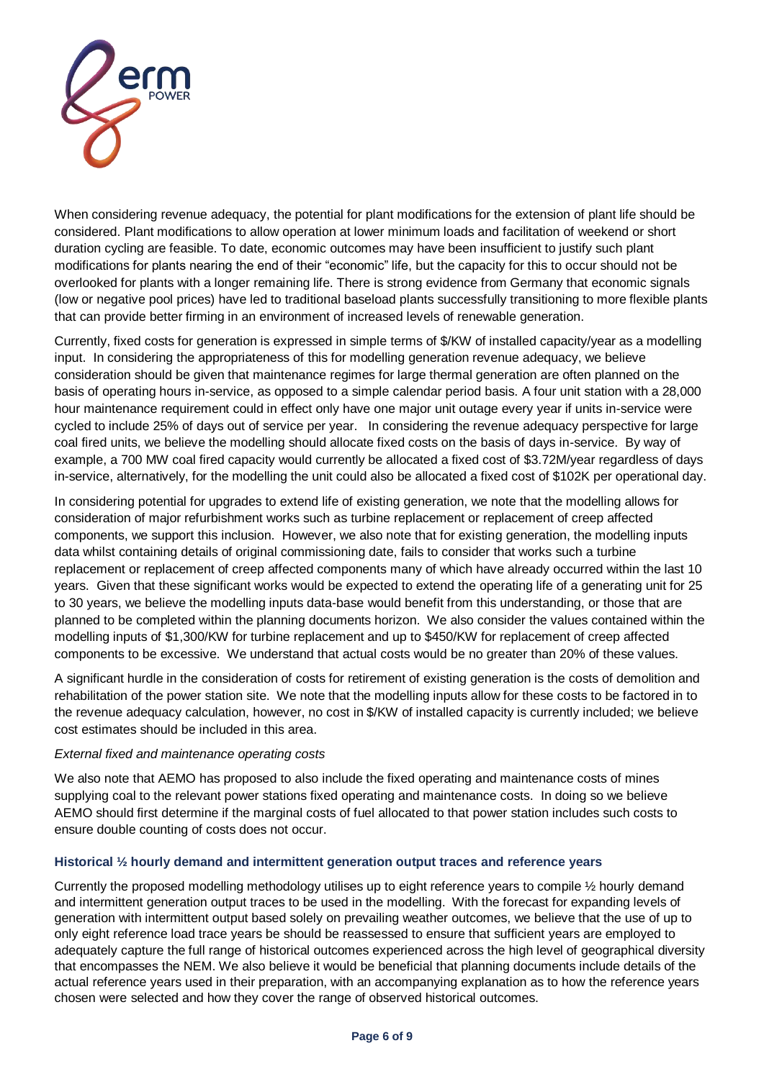

When considering revenue adequacy, the potential for plant modifications for the extension of plant life should be considered. Plant modifications to allow operation at lower minimum loads and facilitation of weekend or short duration cycling are feasible. To date, economic outcomes may have been insufficient to justify such plant modifications for plants nearing the end of their "economic" life, but the capacity for this to occur should not be overlooked for plants with a longer remaining life. There is strong evidence from Germany that economic signals (low or negative pool prices) have led to traditional baseload plants successfully transitioning to more flexible plants that can provide better firming in an environment of increased levels of renewable generation.

Currently, fixed costs for generation is expressed in simple terms of \$/KW of installed capacity/year as a modelling input. In considering the appropriateness of this for modelling generation revenue adequacy, we believe consideration should be given that maintenance regimes for large thermal generation are often planned on the basis of operating hours in-service, as opposed to a simple calendar period basis. A four unit station with a 28,000 hour maintenance requirement could in effect only have one major unit outage every year if units in-service were cycled to include 25% of days out of service per year. In considering the revenue adequacy perspective for large coal fired units, we believe the modelling should allocate fixed costs on the basis of days in-service. By way of example, a 700 MW coal fired capacity would currently be allocated a fixed cost of \$3.72M/year regardless of days in-service, alternatively, for the modelling the unit could also be allocated a fixed cost of \$102K per operational day.

In considering potential for upgrades to extend life of existing generation, we note that the modelling allows for consideration of major refurbishment works such as turbine replacement or replacement of creep affected components, we support this inclusion. However, we also note that for existing generation, the modelling inputs data whilst containing details of original commissioning date, fails to consider that works such a turbine replacement or replacement of creep affected components many of which have already occurred within the last 10 years. Given that these significant works would be expected to extend the operating life of a generating unit for 25 to 30 years, we believe the modelling inputs data-base would benefit from this understanding, or those that are planned to be completed within the planning documents horizon. We also consider the values contained within the modelling inputs of \$1,300/KW for turbine replacement and up to \$450/KW for replacement of creep affected components to be excessive. We understand that actual costs would be no greater than 20% of these values.

A significant hurdle in the consideration of costs for retirement of existing generation is the costs of demolition and rehabilitation of the power station site. We note that the modelling inputs allow for these costs to be factored in to the revenue adequacy calculation, however, no cost in \$/KW of installed capacity is currently included; we believe cost estimates should be included in this area.

#### *External fixed and maintenance operating costs*

We also note that AEMO has proposed to also include the fixed operating and maintenance costs of mines supplying coal to the relevant power stations fixed operating and maintenance costs. In doing so we believe AEMO should first determine if the marginal costs of fuel allocated to that power station includes such costs to ensure double counting of costs does not occur.

#### **Historical ½ hourly demand and intermittent generation output traces and reference years**

Currently the proposed modelling methodology utilises up to eight reference years to compile ½ hourly demand and intermittent generation output traces to be used in the modelling. With the forecast for expanding levels of generation with intermittent output based solely on prevailing weather outcomes, we believe that the use of up to only eight reference load trace years be should be reassessed to ensure that sufficient years are employed to adequately capture the full range of historical outcomes experienced across the high level of geographical diversity that encompasses the NEM. We also believe it would be beneficial that planning documents include details of the actual reference years used in their preparation, with an accompanying explanation as to how the reference years chosen were selected and how they cover the range of observed historical outcomes.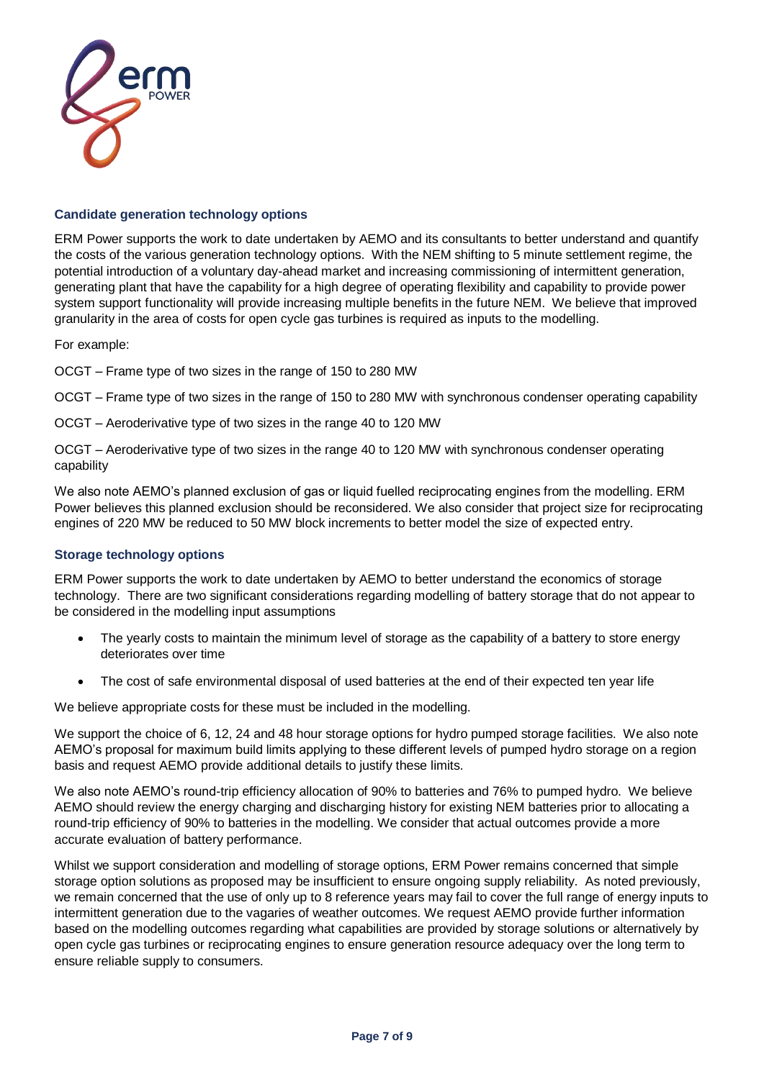

#### **Candidate generation technology options**

ERM Power supports the work to date undertaken by AEMO and its consultants to better understand and quantify the costs of the various generation technology options. With the NEM shifting to 5 minute settlement regime, the potential introduction of a voluntary day-ahead market and increasing commissioning of intermittent generation, generating plant that have the capability for a high degree of operating flexibility and capability to provide power system support functionality will provide increasing multiple benefits in the future NEM. We believe that improved granularity in the area of costs for open cycle gas turbines is required as inputs to the modelling.

For example:

OCGT – Frame type of two sizes in the range of 150 to 280 MW

OCGT – Frame type of two sizes in the range of 150 to 280 MW with synchronous condenser operating capability

OCGT – Aeroderivative type of two sizes in the range 40 to 120 MW

OCGT – Aeroderivative type of two sizes in the range 40 to 120 MW with synchronous condenser operating capability

We also note AEMO's planned exclusion of gas or liquid fuelled reciprocating engines from the modelling. ERM Power believes this planned exclusion should be reconsidered. We also consider that project size for reciprocating engines of 220 MW be reduced to 50 MW block increments to better model the size of expected entry.

### **Storage technology options**

ERM Power supports the work to date undertaken by AEMO to better understand the economics of storage technology. There are two significant considerations regarding modelling of battery storage that do not appear to be considered in the modelling input assumptions

- The yearly costs to maintain the minimum level of storage as the capability of a battery to store energy deteriorates over time
- The cost of safe environmental disposal of used batteries at the end of their expected ten year life

We believe appropriate costs for these must be included in the modelling.

We support the choice of 6, 12, 24 and 48 hour storage options for hydro pumped storage facilities. We also note AEMO's proposal for maximum build limits applying to these different levels of pumped hydro storage on a region basis and request AEMO provide additional details to justify these limits.

We also note AEMO's round-trip efficiency allocation of 90% to batteries and 76% to pumped hydro. We believe AEMO should review the energy charging and discharging history for existing NEM batteries prior to allocating a round-trip efficiency of 90% to batteries in the modelling. We consider that actual outcomes provide a more accurate evaluation of battery performance.

Whilst we support consideration and modelling of storage options, ERM Power remains concerned that simple storage option solutions as proposed may be insufficient to ensure ongoing supply reliability. As noted previously, we remain concerned that the use of only up to 8 reference years may fail to cover the full range of energy inputs to intermittent generation due to the vagaries of weather outcomes. We request AEMO provide further information based on the modelling outcomes regarding what capabilities are provided by storage solutions or alternatively by open cycle gas turbines or reciprocating engines to ensure generation resource adequacy over the long term to ensure reliable supply to consumers.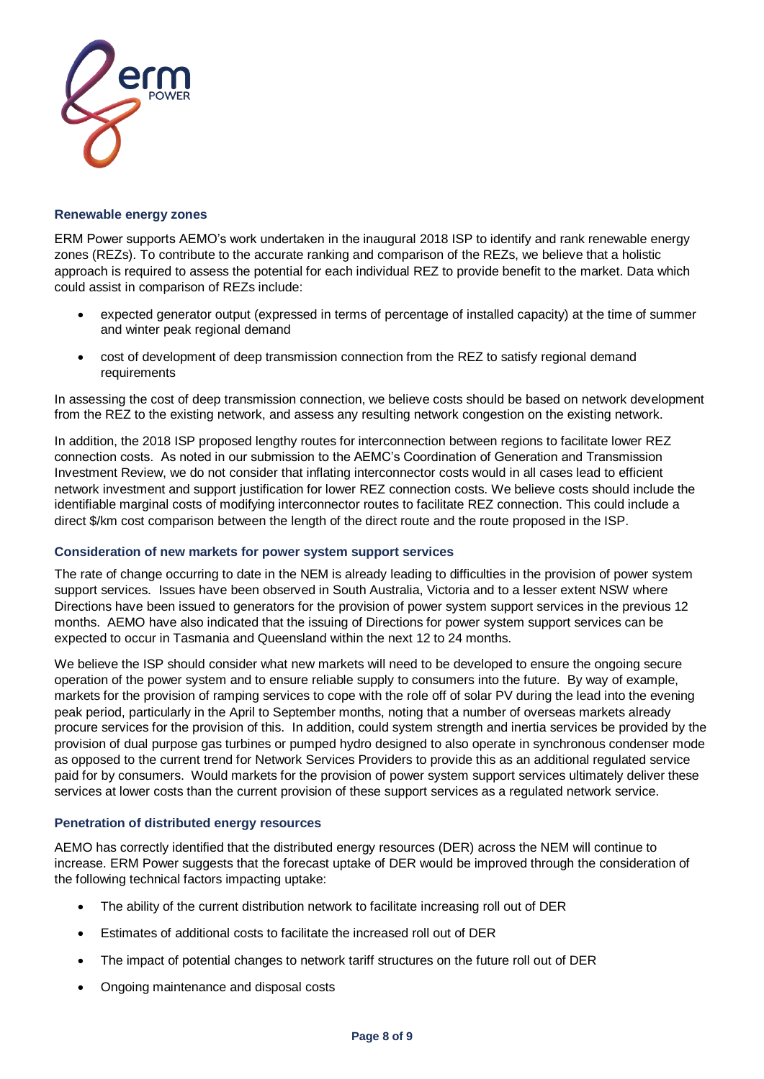

#### **Renewable energy zones**

ERM Power supports AEMO's work undertaken in the inaugural 2018 ISP to identify and rank renewable energy zones (REZs). To contribute to the accurate ranking and comparison of the REZs, we believe that a holistic approach is required to assess the potential for each individual REZ to provide benefit to the market. Data which could assist in comparison of REZs include:

- expected generator output (expressed in terms of percentage of installed capacity) at the time of summer and winter peak regional demand
- cost of development of deep transmission connection from the REZ to satisfy regional demand requirements

In assessing the cost of deep transmission connection, we believe costs should be based on network development from the REZ to the existing network, and assess any resulting network congestion on the existing network.

In addition, the 2018 ISP proposed lengthy routes for interconnection between regions to facilitate lower REZ connection costs. As noted in our submission to the AEMC's Coordination of Generation and Transmission Investment Review, we do not consider that inflating interconnector costs would in all cases lead to efficient network investment and support justification for lower REZ connection costs. We believe costs should include the identifiable marginal costs of modifying interconnector routes to facilitate REZ connection. This could include a direct \$/km cost comparison between the length of the direct route and the route proposed in the ISP.

#### **Consideration of new markets for power system support services**

The rate of change occurring to date in the NEM is already leading to difficulties in the provision of power system support services. Issues have been observed in South Australia, Victoria and to a lesser extent NSW where Directions have been issued to generators for the provision of power system support services in the previous 12 months. AEMO have also indicated that the issuing of Directions for power system support services can be expected to occur in Tasmania and Queensland within the next 12 to 24 months.

We believe the ISP should consider what new markets will need to be developed to ensure the ongoing secure operation of the power system and to ensure reliable supply to consumers into the future. By way of example, markets for the provision of ramping services to cope with the role off of solar PV during the lead into the evening peak period, particularly in the April to September months, noting that a number of overseas markets already procure services for the provision of this. In addition, could system strength and inertia services be provided by the provision of dual purpose gas turbines or pumped hydro designed to also operate in synchronous condenser mode as opposed to the current trend for Network Services Providers to provide this as an additional regulated service paid for by consumers. Would markets for the provision of power system support services ultimately deliver these services at lower costs than the current provision of these support services as a regulated network service.

#### **Penetration of distributed energy resources**

AEMO has correctly identified that the distributed energy resources (DER) across the NEM will continue to increase. ERM Power suggests that the forecast uptake of DER would be improved through the consideration of the following technical factors impacting uptake:

- The ability of the current distribution network to facilitate increasing roll out of DER
- Estimates of additional costs to facilitate the increased roll out of DER
- The impact of potential changes to network tariff structures on the future roll out of DER
- Ongoing maintenance and disposal costs